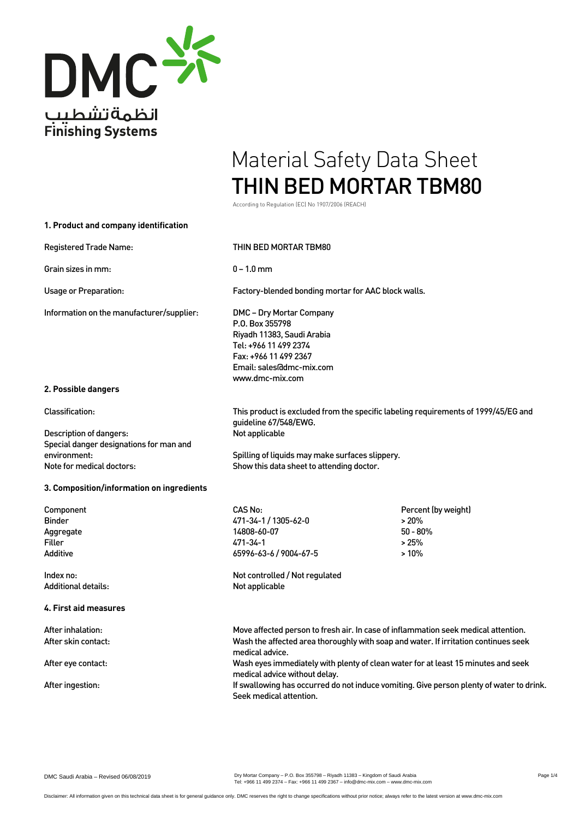

According to Regulation (EC) No 1907/2006 (REACH)

| 1. Product and company identification                                |                                                                                                                                                                                              |                                                           |
|----------------------------------------------------------------------|----------------------------------------------------------------------------------------------------------------------------------------------------------------------------------------------|-----------------------------------------------------------|
| <b>Registered Trade Name:</b>                                        | THIN BED MORTAR TBM80                                                                                                                                                                        |                                                           |
| Grain sizes in mm:                                                   | $0 - 1.0$ mm                                                                                                                                                                                 |                                                           |
| Usage or Preparation:                                                | Factory-blended bonding mortar for AAC block walls.                                                                                                                                          |                                                           |
| Information on the manufacturer/supplier:                            | DMC – Dry Mortar Company<br>P.O. Box 355798<br>Riyadh 11383, Saudi Arabia<br>Tel: +966 11 499 2374<br>Fax: +966 11 499 2367<br>Email: sales@dmc-mix.com<br>www.dmc-mix.com                   |                                                           |
| 2. Possible dangers                                                  |                                                                                                                                                                                              |                                                           |
| <b>Classification:</b>                                               | This product is excluded from the specific labeling requirements of 1999/45/EG and<br>guideline 67/548/EWG.                                                                                  |                                                           |
| Description of dangers:<br>Special danger designations for man and   | Not applicable                                                                                                                                                                               |                                                           |
| environment:<br>Note for medical doctors:                            | Spilling of liquids may make surfaces slippery.<br>Show this data sheet to attending doctor.                                                                                                 |                                                           |
| 3. Composition/information on ingredients                            |                                                                                                                                                                                              |                                                           |
| Component<br><b>Binder</b><br>Aggregate<br><b>Filler</b><br>Additive | CAS No:<br>471-34-1 / 1305-62-0<br>14808-60-07<br>471-34-1<br>65996-63-6 / 9004-67-5                                                                                                         | Percent (by weight)<br>>20%<br>$50 - 80%$<br>>25%<br>>10% |
| Index no:<br>Additional details:                                     | Not controlled / Not regulated<br>Not applicable                                                                                                                                             |                                                           |
| 4. First aid measures                                                |                                                                                                                                                                                              |                                                           |
| After inhalation:<br>After skin contact:                             | Move affected person to fresh air. In case of inflammation seek medical attention.<br>Wash the affected area thoroughly with soap and water. If irritation continues seek<br>medical advice. |                                                           |
| After eye contact:                                                   | Wash eyes immediately with plenty of clean water for at least 15 minutes and seek<br>medical advice without delay.                                                                           |                                                           |
| After ingestion:                                                     | If swallowing has occurred do not induce vomiting. Give person plenty of water to drink.<br>Seek medical attention.                                                                          |                                                           |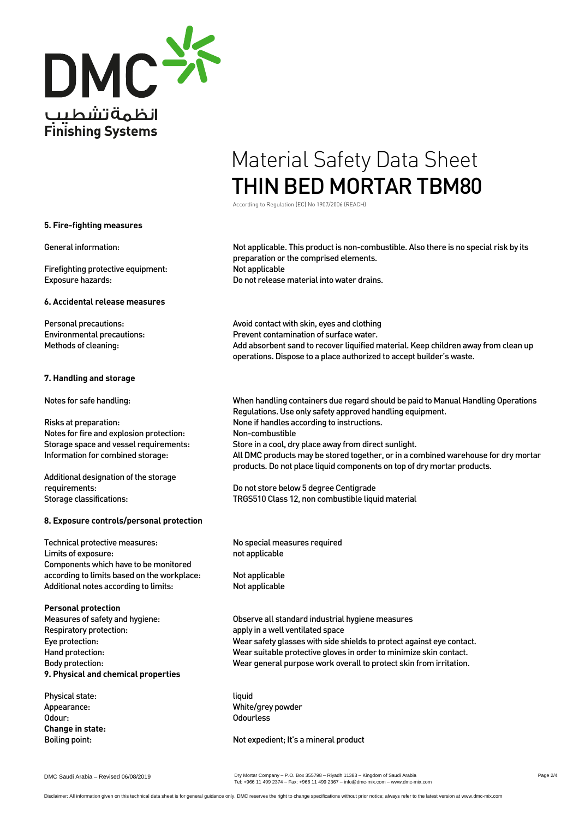

According to Regulation (EC) No 1907/2006 (REACH)

#### **5. Fire-fighting measures**

Firefighting protective equipment: Not applicable

#### **6. Accidental release measures**

### **7. Handling and storage**

Notes for fire and explosion protection: Non-combustible

Additional designation of the storage

## **8. Exposure controls/personal protection**

Technical protective measures: No special measures required Limits of exposure: not applicable Components which have to be monitored according to limits based on the workplace: Not applicable Additional notes according to limits: Not applicable

**Personal protection** Respiratory protection: apply in a well ventilated space **9. Physical and chemical properties**

Physical state: liquid Odour: Contract Contract Contract Contract Contract Contract Contract Contract Contract Contract Contract Contract Contract Contract Contract Contract Contract Contract Contract Contract Contract Contract Contract Contract **Change in state:**

General information: Not applicable. This product is non-combustible. Also there is no special risk by its preparation or the comprised elements. Exposure hazards: Do not release material into water drains.

Personal precautions:  $\blacksquare$  Avoid contact with skin, eyes and clothing Environmental precautions: Prevent contamination of surface water. Methods of cleaning: Add absorbent sand to recover liquified material. Keep children away from clean up operations. Dispose to a place authorized to accept builder's waste.

Notes for safe handling: When handling containers due regard should be paid to Manual Handling Operations Regulations. Use only safety approved handling equipment. Risks at preparation: None if handles according to instructions. Storage space and vessel requirements: Store in a cool, dry place away from direct sunlight. Information for combined storage: All DMC products may be stored together, or in a combined warehouse for dry mortar products. Do not place liquid components on top of dry mortar products.

requirements: Do not store below 5 degree Centigrade Storage classifications: TRGS510 Class 12, non combustible liquid material

Measures of safety and hygiene: Observe all standard industrial hygiene measures Eye protection: Wear safety glasses with side shields to protect against eye contact. Hand protection: Wear suitable protective gloves in order to minimize skin contact. Body protection: Wear general purpose work overall to protect skin from irritation.

Appearance: White/grey powder

Boiling point: Not expedient; It's a mineral product

DMC Saudi Arabia – Revised 06/08/2019

Dry Mortar Company – P.O. Box 355798 – Riyadh 11383 – Kingdom of Saudi Arabia Tel: +966 11 499 2374 – Fax: +966 11 499 2367 – info@dmc-mix.com – www.dmc-mix.com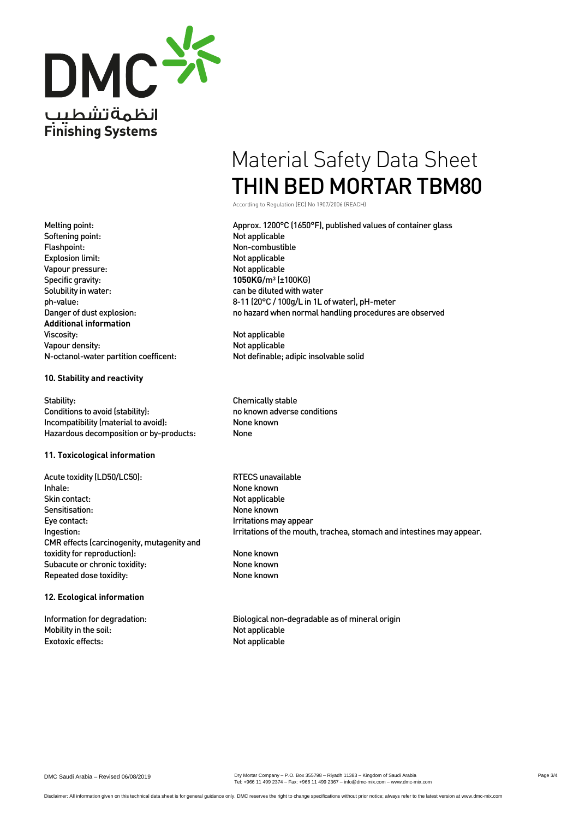

According to Regulation (EC) No 1907/2006 (REACH)

Melting point: Approx. 1200°C (1650°F), published values of container glass ph-value: 8-11 (20°C / 100g/L in 1L of water), pH-meter<br>Danger of dust explosion: 11 on the same of the mormal handling procedures no hazard when normal handling procedures are observed

Vapour density:<br>N-octanol-water partition coefficent: Not definable; adipic insolvable solid

Ingestion: Interestion: Interestion of the mouth, trachea, stomach and intestines may appear.

Information for degradation: Biological non-degradable as of mineral origin

Softening point: Not applicable Flashpoint: Non-combustible Explosion limit:<br>
Vapour pressure: Not applicable<br>
Vapour pressure: Vapour pressure: Specific gravity: **1050KG**/m<sup>3</sup> (±100KG) Solubility in water: can be diluted with water **Additional information** Viscosity: Not applicable N-octanol-water partition coefficent:

## **10. Stability and reactivity**

Stability:<br>Conditions to avoid (stability):<br>Conditions to avoid (stability):<br>Conditions to avoid (stability): Conditions to avoid (stability): Incompatibility (material to avoid): None known Hazardous decomposition or by-products: None

## **11. Toxicological information**

Acute toxidity (LD50/LC50): RTECS unavailable Inhale: None known Skin contact: Not applicable Sensitisation: None known Eye contact: International management of the contact: Irritations may appear CMR effects (carcinogenity, mutagenity and toxidity for reproduction): None known Subacute or chronic toxidity: None known Repeated dose toxidity: None known

## **12. Ecological information**

Mobility in the soil: Not applicable Exotoxic effects: Not applicable